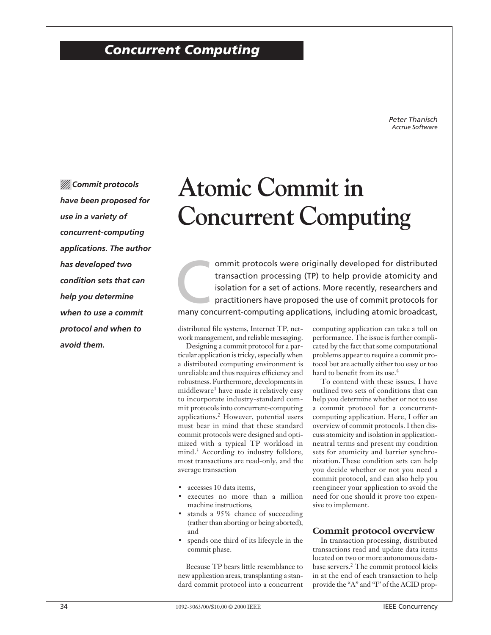# *Concurrent Computing*

*Peter Thanisch Accrue Software*

*Commit protocols have been proposed for use in a variety of concurrent-computing applications. The author has developed two condition sets that can help you determine when to use a commit protocol and when to avoid them.* 

# **Atomic Commit in Concurrent Computing**

ommit protocols were originally developed for distributed<br>transaction processing (TP) to help provide atomicity and<br>isolation for a set of actions. More recently, researchers and<br>practitioners have proposed the use of comm transaction processing (TP) to help provide atomicity and isolation for a set of actions. More recently, researchers and practitioners have proposed the use of commit protocols for

distributed file systems, Internet TP, network management, and reliable messaging.

Designing a commit protocol for a particular application is tricky, especially when a distributed computing environment is unreliable and thus requires efficiency and robustness. Furthermore, developments in middleware<sup>1</sup> have made it relatively easy to incorporate industry-standard commit protocols into concurrent-computing applications.<sup>2</sup> However, potential users must bear in mind that these standard commit protocols were designed and optimized with a typical TP workload in mind.<sup>3</sup> According to industry folklore, most transactions are read-only, and the average transaction

- accesses 10 data items,
- executes no more than a million machine instructions,
- stands a 95% chance of succeeding (rather than aborting or being aborted), and
- spends one third of its lifecycle in the commit phase.

Because TP bears little resemblance to new application areas, transplanting a standard commit protocol into a concurrent computing application can take a toll on performance. The issue is further complicated by the fact that some computational problems appear to require a commit protocol but are actually either too easy or too hard to benefit from its use.<sup>4</sup>

To contend with these issues, I have outlined two sets of conditions that can help you determine whether or not to use a commit protocol for a concurrentcomputing application. Here, I offer an overview of commit protocols. I then discuss atomicity and isolation in applicationneutral terms and present my condition sets for atomicity and barrier synchronization.These condition sets can help you decide whether or not you need a commit protocol, and can also help you reengineer your application to avoid the need for one should it prove too expensive to implement.

# **Commit protocol overview**

In transaction processing, distributed transactions read and update data items located on two or more autonomous database servers.2 The commit protocol kicks in at the end of each transaction to help provide the "A" and "I" of the ACID prop-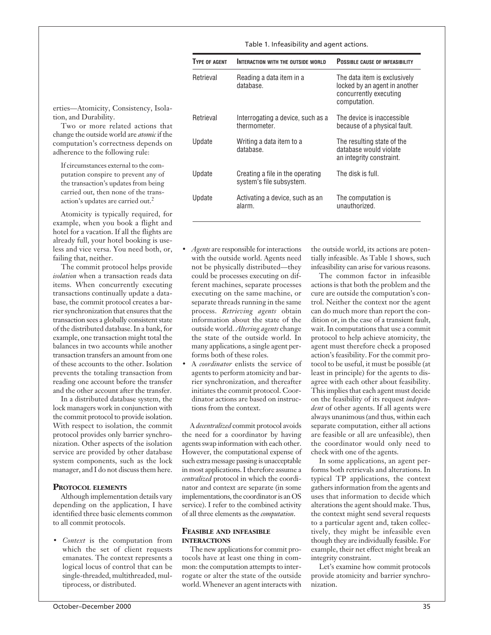# erties—Atomicity, Consistency, Isolation, and Durability.

Two or more related actions that change the outside world are *atomic* if the computation's correctness depends on adherence to the following rule:

If circumstances external to the computation conspire to prevent any of the transaction's updates from being carried out, then none of the transaction's updates are carried out. 2

Atomicity is typically required, for example, when you book a flight and hotel for a vacation. If all the flights are already full, your hotel booking is useless and vice versa. You need both, or, failing that, neither.

The commit protocol helps provide *isolation* when a transaction reads data items. When concurrently executing transactions continually update a database, the commit protocol creates a barrier synchronization that ensures that the transaction sees a globally consistent state of the distributed database. In a bank, for example, one transaction might total the balances in two accounts while another transaction transfers an amount from one of these accounts to the other. Isolation prevents the totaling transaction from reading one account before the transfer and the other account after the transfer.

In a distributed database system, the lock managers work in conjunction with the commit protocol to provide isolation. With respect to isolation, the commit protocol provides only barrier synchronization. Other aspects of the isolation service are provided by other database system components, such as the lock manager, and I do not discuss them here.

## **PROTOCOL ELEMENTS**

Although implementation details vary depending on the application, I have identified three basic elements common to all commit protocols.

• *Context* is the computation from which the set of client requests emanates. The context represents a logical locus of control that can be single-threaded, multithreaded, multiprocess, or distributed.

• *Agents* are responsible for interactions with the outside world. Agents need not be physically distributed—they could be processes executing on different machines, separate processes executing on the same machine, or separate threads running in the same process. *Retrieving agents* obtain information about the state of the outside world. *Altering agents* change the state of the outside world. In many applications, a single agent per-

• A *coordinator* enlists the service of agents to perform atomicity and barrier synchronization, and thereafter initiates the commit protocol. Coordinator actions are based on instructions from the context.

A *decentralized* commit protocol avoids the need for a coordinator by having agents swap information with each other. However, the computational expense of such extra message passing is unacceptable in most applications. I therefore assume a *centralized* protocol in which the coordinator and context are separate (in some implementations, the coordinator is an OS service). I refer to the combined activity of all three elements as the *computation*.

#### **FEASIBLE AND INFEASIBLE INTERACTIONS**

The new applications for commit protocols have at least one thing in common: the computation attempts to interrogate or alter the state of the outside world. Whenever an agent interacts with the outside world, its actions are potentially infeasible. As Table 1 shows, such infeasibility can arise for various reasons.

The common factor in infeasible actions is that both the problem and the cure are outside the computation's control. Neither the context nor the agent can do much more than report the condition or, in the case of a transient fault, wait. In computations that use a commit protocol to help achieve atomicity, the agent must therefore check a proposed action's feasibility. For the commit protocol to be useful, it must be possible (at least in principle) for the agents to disagree with each other about feasibility. This implies that each agent must decide on the feasibility of its request *independent* of other agents. If all agents were always unanimous (and thus, within each separate computation, either all actions are feasible or all are unfeasible), then the coordinator would only need to check with one of the agents.

In some applications, an agent performs both retrievals and alterations. In typical TP applications, the context gathers information from the agents and uses that information to decide which alterations the agent should make. Thus, the context might send several requests to a particular agent and, taken collectively, they might be infeasible even though they are individually feasible. For example, their net effect might break an integrity constraint.

Let's examine how commit protocols provide atomicity and barrier synchronization.

# Table 1. Infeasibility and agent actions.

| <b>TYPE OF AGENT</b> | <b>INTERACTION WITH THE OUTSIDE WORLD</b>                    | <b>POSSIBLE CAUSE OF INFEASIBILITY</b>                                                                  |  |  |  |  |
|----------------------|--------------------------------------------------------------|---------------------------------------------------------------------------------------------------------|--|--|--|--|
| Retrieval            | Reading a data item in a<br>database.                        | The data item is exclusively<br>locked by an agent in another<br>concurrently executing<br>computation. |  |  |  |  |
| Retrieval            | Interrogating a device, such as a<br>thermometer.            | The device is inaccessible<br>because of a physical fault.                                              |  |  |  |  |
| Update               | Writing a data item to a<br>database.                        | The resulting state of the<br>database would violate<br>an integrity constraint.                        |  |  |  |  |
| Update               | Creating a file in the operating<br>system's file subsystem. | The disk is full.                                                                                       |  |  |  |  |
| Update               | Activating a device, such as an<br>alarm.                    | The computation is<br>unauthorized.                                                                     |  |  |  |  |

| with the outside world. Agents need    |  |
|----------------------------------------|--|
| not be physically distributed—they     |  |
| could be processes executing on dif-   |  |
| ferent machines, separate processes    |  |
| executing on the same machine, or      |  |
| separate threads running in the same   |  |
| process. Retrieving agents obtain      |  |
| information about the state of the     |  |
| outside world. Altering agents change  |  |
| the state of the outside world. In     |  |
| many applications, a single agent per- |  |
| forms both of these roles.             |  |
| A coordinator enlists the service of   |  |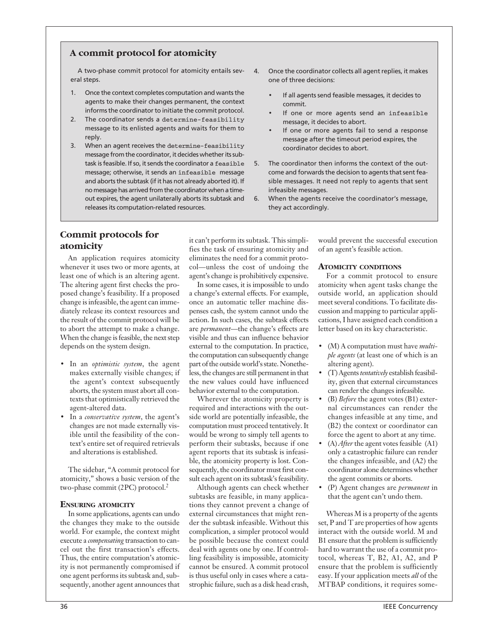# **A commit protocol for atomicity**

A two-phase commit protocol for atomicity entails sev- 4. eral steps.

- 1. Once the context completes computation and wants the agents to make their changes permanent, the context informs the coordinator to initiate the commit protocol.
- 2. The coordinator sends a determine-feasibility message to its enlisted agents and waits for them to reply.
- 3. When an agent receives the determine-feasibility message from the coordinator, it decides whether its subtask is feasible. If so, it sends the coordinator a feasible message; otherwise, it sends an infeasible message and aborts the subtask (if it has not already aborted it). If no message has arrived from the coordinator when a timeout expires, the agent unilaterally aborts its subtask and releases its computation-related resources.
- Once the coordinator collects all agent replies, it makes one of three decisions:
	- If all agents send feasible messages, it decides to commit.
	- If one or more agents send an infeasible message, it decides to abort.
	- If one or more agents fail to send a response message after the timeout period expires, the coordinator decides to abort.
- 5. The coordinator then informs the context of the outcome and forwards the decision to agents that sent feasible messages. It need not reply to agents that sent infeasible messages.
- 6. When the agents receive the coordinator's message, they act accordingly.

# **Commit protocols for atomicity**

An application requires atomicity whenever it uses two or more agents, at least one of which is an altering agent. The altering agent first checks the proposed change's feasibility. If a proposed change is infeasible, the agent can immediately release its context resources and the result of the commit protocol will be to abort the attempt to make a change. When the change is feasible, the next step depends on the system design.

- In an *optimistic system*, the agent makes externally visible changes; if the agent's context subsequently aborts, the system must abort all contexts that optimistically retrieved the agent-altered data.
- In a *conservative system*, the agent's changes are not made externally visible until the feasibility of the context's entire set of required retrievals and alterations is established.

The sidebar, "A commit protocol for atomicity," shows a basic version of the two-phase commit (2PC) protocol.<sup>2</sup>

## **ENSURING ATOMICITY**

In some applications, agents can undo the changes they make to the outside world. For example, the context might execute a *compensating* transaction to cancel out the first transaction's effects. Thus, the entire computation's atomicity is not permanently compromised if one agent performs its subtask and, subsequently, another agent announces that

it can't perform its subtask. This simplifies the task of ensuring atomicity and eliminates the need for a commit protocol—unless the cost of undoing the agent's change is prohibitively expensive.

In some cases, it is impossible to undo a change's external effects. For example, once an automatic teller machine dispenses cash, the system cannot undo the action. In such cases, the subtask effects are *permanent*—the change's effects are visible and thus can influence behavior external to the computation. In practice, the computation can subsequently change part of the outside world's state. Nonetheless, the changes are still permanent in that the new values could have influenced behavior external to the computation.

Wherever the atomicity property is required and interactions with the outside world are potentially infeasible, the computation must proceed tentatively. It would be wrong to simply tell agents to perform their subtasks, because if one agent reports that its subtask is infeasible, the atomicity property is lost. Consequently, the coordinator must first consult each agent on its subtask's feasibility.

Although agents can check whether subtasks are feasible, in many applications they cannot prevent a change of external circumstances that might render the subtask infeasible. Without this complication, a simpler protocol would be possible because the context could deal with agents one by one. If controlling feasibility is impossible, atomicity cannot be ensured. A commit protocol is thus useful only in cases where a catastrophic failure, such as a disk head crash,

would prevent the successful execution of an agent's feasible action.

## **ATOMICITY CONDITIONS**

For a commit protocol to ensure atomicity when agent tasks change the outside world, an application should meet several conditions. To facilitate discussion and mapping to particular applications, I have assigned each condition a letter based on its key characteristic.

- (M) A computation must have *multiple agents* (at least one of which is an altering agent).
- (T) Agents *tentatively* establish feasibility, given that external circumstances can render the changes infeasible.
- (B) *Before* the agent votes (B1) external circumstances can render the changes infeasible at any time, and (B2) the context or coordinator can force the agent to abort at any time.
- (A) *After* the agent votes feasible (A1) only a catastrophic failure can render the changes infeasible, and (A2) the coordinator alone determines whether the agent commits or aborts.
- (P) Agent changes are *permanent* in that the agent can't undo them.

Whereas M is a property of the agents set, P and T are properties of how agents interact with the outside world. M and B1 ensure that the problem is sufficiently hard to warrant the use of a commit protocol, whereas T, B2, A1, A2, and P ensure that the problem is sufficiently easy. If your application meets *all* of the MTBAP conditions, it requires some-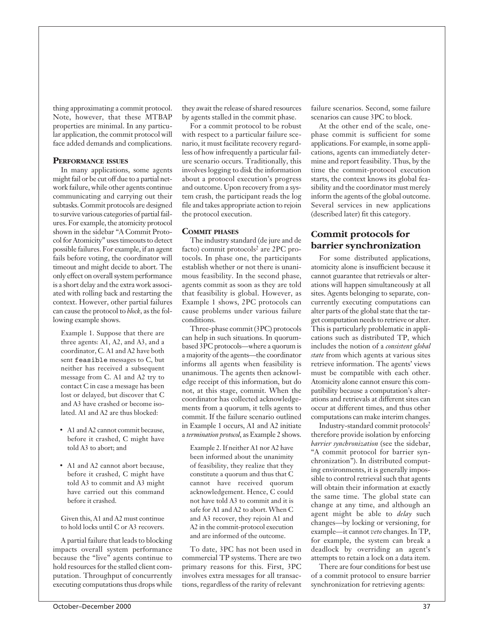thing approximating a commit protocol. Note, however, that these MTBAP properties are minimal. In any particular application, the commit protocol will face added demands and complications.

## **PERFORMANCE ISSUES**

In many applications, some agents might fail or be cut off due to a partial network failure, while other agents continue communicating and carrying out their subtasks. Commit protocols are designed to survive various categories of partial failures. For example, the atomicity protocol shown in the sidebar "A Commit Protocol for Atomicity" uses timeouts to detect possible failures. For example, if an agent fails before voting, the coordinator will timeout and might decide to abort. The only effect on overall system performance is a short delay and the extra work associated with rolling back and restarting the context. However, other partial failures can cause the protocol to *block*, as the following example shows.

Example 1. Suppose that there are three agents: A1, A2, and A3, and a coordinator, C. A1 and A2 have both sent feasible messages to C, but neither has received a subsequent message from C. A1 and A2 try to contact C in case a message has been lost or delayed, but discover that C and A3 have crashed or become isolated. A1 and A2 are thus blocked:

- A1 and A2 cannot commit because. before it crashed, C might have told A3 to abort; and
- A1 and A2 cannot abort because. before it crashed, C might have told A3 to commit and A3 might have carried out this command before it crashed.

Given this, A1 and A2 must continue to hold locks until C or A3 recovers.

A partial failure that leads to blocking impacts overall system performance because the "live" agents continue to hold resources for the stalled client computation. Throughput of concurrently executing computations thus drops while they await the release of shared resources by agents stalled in the commit phase.

For a commit protocol to be robust with respect to a particular failure scenario, it must facilitate recovery regardless of how infrequently a particular failure scenario occurs. Traditionally, this involves logging to disk the information about a protocol execution's progress and outcome. Upon recovery from a system crash, the participant reads the log file and takes appropriate action to rejoin the protocol execution.

# **COMMIT PHASES**

The industry standard (de jure and de facto) commit protocols<sup>2</sup> are 2PC protocols. In phase one, the participants establish whether or not there is unanimous feasibility. In the second phase, agents commit as soon as they are told that feasibility is global. However, as Example 1 shows, 2PC protocols can cause problems under various failure conditions.

Three-phase commit (3PC) protocols can help in such situations. In quorumbased 3PC protocols—where a quorum is a majority of the agents—the coordinator informs all agents when feasibility is unanimous. The agents then acknowledge receipt of this information, but do not, at this stage, commit. When the coordinator has collected acknowledgements from a quorum, it tells agents to commit. If the failure scenario outlined in Example 1 occurs, A1 and A2 initiate a *termination protocol*, as Example 2 shows.

Example 2. If neither A1 nor A2 have been informed about the unanimity of feasibility, they realize that they constitute a quorum and thus that C cannot have received quorum acknowledgement. Hence, C could not have told A3 to commit and it is safe for A1 and A2 to abort. When C and A3 recover, they rejoin A1 and A2 in the commit-protocol execution and are informed of the outcome.

To date, 3PC has not been used in commercial TP systems. There are two primary reasons for this. First, 3PC involves extra messages for all transactions, regardless of the rarity of relevant failure scenarios. Second, some failure scenarios can cause 3PC to block.

At the other end of the scale, onephase commit is sufficient for some applications. For example, in some applications, agents can immediately determine and report feasibility. Thus, by the time the commit-protocol execution starts, the context knows its global feasibility and the coordinator must merely inform the agents of the global outcome. Several services in new applications (described later) fit this category.

# **Commit protocols for barrier synchronization**

For some distributed applications, atomicity alone is insufficient because it cannot guarantee that retrievals or alterations will happen simultaneously at all sites. Agents belonging to separate, concurrently executing computations can alter parts of the global state that the target computation needs to retrieve or alter. This is particularly problematic in applications such as distributed TP, which includes the notion of a *consistent global state* from which agents at various sites retrieve information. The agents' views must be compatible with each other. Atomicity alone cannot ensure this compatibility because a computation's alterations and retrievals at different sites can occur at different times, and thus other computations can make interim changes.

Industry-standard commit protocols2 therefore provide isolation by enforcing *barrier synchronization* (see the sidebar, "A commit protocol for barrier synchronization"). In distributed computing environments, it is generally impossible to control retrieval such that agents will obtain their information at exactly the same time. The global state can change at any time, and although an agent might be able to *delay* such changes—by locking or versioning, for example—it cannot *veto* changes. In TP, for example, the system can break a deadlock by overriding an agent's attempts to retain a lock on a data item.

There are four conditions for best use of a commit protocol to ensure barrier synchronization for retrieving agents: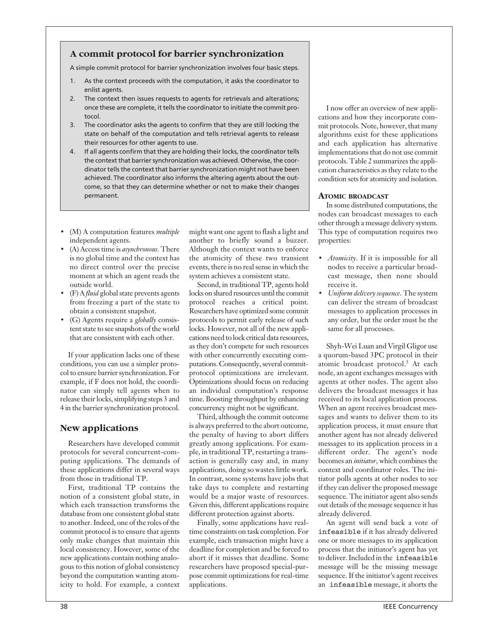# **A commit protocol for barrier synchronization**

A simple commit protocol for barrier synchronization involves four basic steps.

- 1. As the context proceeds with the computation, it asks the coordinator to enlist agents.
- 2. The context then issues requests to agents for retrievals and alterations; once these are complete, it tells the coordinator to initiate the commit protocol.
- 3. The coordinator asks the agents to confirm that they are still locking the state on behalf of the computation and tells retrieval agents to release their resources for other agents to use.
- 4. If all agents confirm that they are holding their locks, the coordinator tells the context that barrier synchronization was achieved. Otherwise, the coordinator tells the context that barrier synchronization might not have been achieved. The coordinator also informs the altering agents about the outcome, so that they can determine whether or not to make their changes permanent.
- (M) A computation features *multiple* independent agents.
- (A) Access time is *asynchronous.* There is no global time and the context has no direct control over the precise moment at which an agent reads the outside world.
- (F) A *fluid* global state prevents agents from freezing a part of the state to obtain a consistent snapshot.
- (G) Agents require a *globally* consistent state to see snapshots of the world that are consistent with each other.

If your application lacks one of these conditions, you can use a simpler protocol to ensure barrier synchronization. For example, if F does not hold, the coordinator can simply tell agents when to release their locks, simplifying steps 3 and 4 in the barrier synchronization protocol.

# **New applications**

Researchers have developed commit protocols for several concurrent-computing applications. The demands of these applications differ in several ways from those in traditional TP.

First, traditional TP contains the notion of a consistent global state, in which each transaction transforms the database from one consistent global state to another. Indeed, one of the roles of the commit protocol is to ensure that agents only make changes that maintain this local consistency. However, some of the new applications contain nothing analogous to this notion of global consistency beyond the computation wanting atomicity to hold. For example, a context might want one agent to flash a light and another to briefly sound a buzzer. Although the context wants to enforce the atomicity of these two transient events, there is no real sense in which the system achieves a consistent state.

Second, in traditional TP, agents hold locks on shared resources until the commit protocol reaches a critical point. Researchers have optimized some commit protocols to permit early release of such locks. However, not all of the new applications need to lock critical data resources, as they don't compete for such resources with other concurrently executing computations. Consequently, several commitprotocol optimizations are irrelevant. Optimizations should focus on reducing an individual computation's response time. Boosting throughput by enhancing concurrency might not be significant.

Third, although the commit outcome is always preferred to the abort outcome, the penalty of having to abort differs greatly among applications. For example, in traditional TP, restarting a transaction is generally easy and, in many applications, doing so wastes little work. In contrast, some systems have jobs that take days to complete and restarting would be a major waste of resources. Given this, different applications require different protection against aborts.

Finally, some applications have realtime constraints on task completion. For example, each transaction might have a deadline for completion and be forced to abort if it misses that deadline. Some researchers have proposed special-purpose commit optimizations for real-time applications.

I now offer an overview of new applications and how they incorporate commit protocols. Note, however, that many algorithms exist for these applications and each application has alternative implementations that do not use commit protocols. Table 2 summarizes the application characteristics as they relate to the condition sets for atomicity and isolation.

#### **ATOMIC BROADCAST**

In some distributed computations, the nodes can broadcast messages to each other through a message delivery system. This type of computation requires two properties:

- *Atomicity*. If it is impossible for all nodes to receive a particular broadcast message, then none should receive it.
- *Uniform delivery sequence*. The system can deliver the stream of broadcast messages to application processes in any order, but the order must be the same for all processes.

Shyh-Wei Luan and Virgil Gligor use a quorum-based 3PC protocol in their atomic broadcast protocol.<sup>5</sup> At each node, an agent exchanges messages with agents at other nodes. The agent also delivers the broadcast messages it has received to its local application process. When an agent receives broadcast messages and wants to deliver them to its application process, it must ensure that another agent has not already delivered messages to its application process in a different order. The agent's node becomes an *initiator*, which combines the context and coordinator roles. The initiator polls agents at other nodes to see if they can deliver the proposed message sequence. The initiator agent also sends out details of the message sequence it has already delivered.

An agent will send back a vote of infeasible if it has already delivered one or more messages to its application process that the initiator's agent has yet to deliver. Included in the infeasible message will be the missing message sequence. If the initiator's agent receives an infeasible message, it aborts the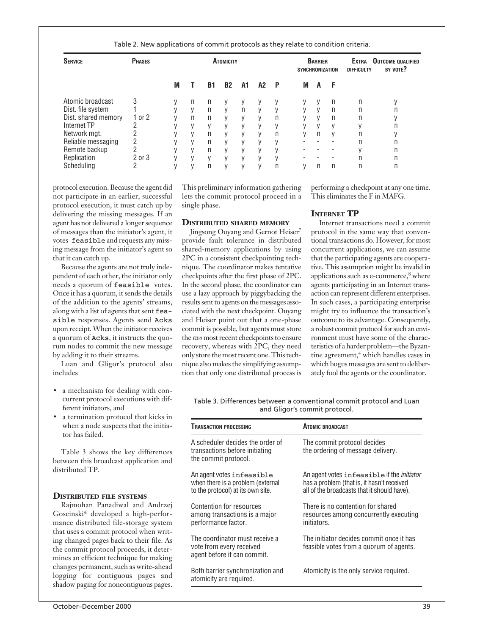Table 2. New applications of commit protocols as they relate to condition criteria.

| <b>SERVICE</b>      | <b>PHASES</b> | <b>ATOMICITY</b> |        |    |           |    | <b>BARRIER</b><br><b>SYNCHRONIZATION</b> |   |   | <b>OUTCOME QUALIFIED</b><br>EXTRA<br>BY VOTE?<br><b>DIFFICULTY</b> |    |               |   |
|---------------------|---------------|------------------|--------|----|-----------|----|------------------------------------------|---|---|--------------------------------------------------------------------|----|---------------|---|
|                     |               | M                |        | B1 | <b>B2</b> | A1 | $A2$ P                                   |   | M | A                                                                  | -F |               |   |
| Atomic broadcast    | 3             |                  | n      | n  | V         |    |                                          | у |   | ٧                                                                  | n  | n             |   |
| Dist. file system   |               |                  | V      | n  | V         | n  | V                                        | V | v | V                                                                  | n  | n             |   |
| Dist. shared memory | 1 or 2        |                  | n      | n  |           |    | V                                        | n |   |                                                                    | n  | n             |   |
| Internet TP         | ŋ             |                  | v      | ٧  |           |    | V                                        | V | V |                                                                    | V  | ٧             |   |
| Network mgt.        |               |                  | $\vee$ | n  |           |    | V                                        | n | ٧ | n                                                                  | V  | n             |   |
| Reliable messaging  |               |                  | v      | n  | v         |    | V                                        | v |   |                                                                    |    | n             |   |
| Remote backup       | ŋ             |                  | ٧      | n  |           |    |                                          | V |   |                                                                    |    | $\mathcal{U}$ | n |
| Replication         | 2 or 3        |                  | v      | ٧  | v         |    | V                                        | V |   |                                                                    |    | n             | n |
| Scheduling          | ŋ             |                  | V      | n  |           |    |                                          | n | v | n                                                                  | n  | n             | n |

protocol execution. Because the agent did not participate in an earlier, successful protocol execution, it must catch up by delivering the missing messages. If an agent has not delivered a longer sequence of messages than the initiator's agent, it votes feasible and requests any missing message from the initiator's agent so that it can catch up.

Because the agents are not truly independent of each other, the initiator only needs a quorum of feasible votes. Once it has a quorum, it sends the details of the addition to the agents' streams, along with a list of agents that sent feasible responses. Agents send Acks upon receipt. When the initiator receives a quorum of Acks, it instructs the quorum nodes to commit the new message by adding it to their streams.

Luan and Gligor's protocol also includes

- a mechanism for dealing with concurrent protocol executions with different initiators, and
- a termination protocol that kicks in when a node suspects that the initiator has failed.

Table 3 shows the key differences between this broadcast application and distributed TP.

## **DISTRIBUTED FILE SYSTEMS**

Rajmohan Panadiwal and Andrzej Goscinski<sup>6</sup> developed a high-performance distributed file-storage system that uses a commit protocol when writing changed pages back to their file. As the commit protocol proceeds, it determines an efficient technique for making changes permanent, such as write-ahead logging for contiguous pages and shadow paging for noncontiguous pages.

This preliminary information gathering lets the commit protocol proceed in a single phase.

# **DISTRIBUTED SHARED MEMORY**

Jingsong Ouyang and Gernot Heiser7 provide fault tolerance in distributed shared-memory applications by using 2PC in a consistent checkpointing technique. The coordinator makes tentative checkpoints after the first phase of 2PC. In the second phase, the coordinator can use a lazy approach by piggybacking the results sent to agents on the messages associated with the next checkpoint. Ouyang and Heiser point out that a one-phase commit is possible, but agents must store the *two* most recent checkpoints to ensure recovery, whereas with 2PC, they need only store the most recent one. This technique also makes the simplifying assumption that only one distributed process is

performing a checkpoint at any one time. This eliminates the F in MAFG.

# **INTERNET TP**

Internet transactions need a commit protocol in the same way that conventional transactions do. However, for most concurrent applications, we can assume that the participating agents are cooperative. This assumption might be invalid in applications such as e-commerce,<sup>8</sup> where agents participating in an Internet transaction can represent different enterprises. In such cases, a participating enterprise might try to influence the transaction's outcome to its advantage. Consequently, a robust commit protocol for such an environment must have some of the characteristics of a harder problem—the Byzantine agreement,<sup>4</sup> which handles cases in which bogus messages are sent to deliberately fool the agents or the coordinator.

Table 3. Differences between a conventional commit protocol and Luan and Gligor's commit protocol.

| <b>TRANSACTION PROCESSING</b>                                                                       | <b>ATOMIC BROADCAST</b>                                                                                                                        |
|-----------------------------------------------------------------------------------------------------|------------------------------------------------------------------------------------------------------------------------------------------------|
| A scheduler decides the order of<br>transactions before initiating<br>the commit protocol.          | The commit protocol decides<br>the ordering of message delivery.                                                                               |
| An agent votes infeasible<br>when there is a problem (external<br>to the protocol) at its own site. | An agent votes infeasible if the <i>initiator</i><br>has a problem (that is, it hasn't received<br>all of the broadcasts that it should have). |
| Contention for resources<br>among transactions is a major<br>performance factor.                    | There is no contention for shared<br>resources among concurrently executing<br>initiators.                                                     |
| The coordinator must receive a<br>vote from every received<br>agent before it can commit.           | The initiator decides commit once it has<br>feasible votes from a quorum of agents.                                                            |
| Both barrier synchronization and<br>atomicity are required.                                         | Atomicity is the only service required.                                                                                                        |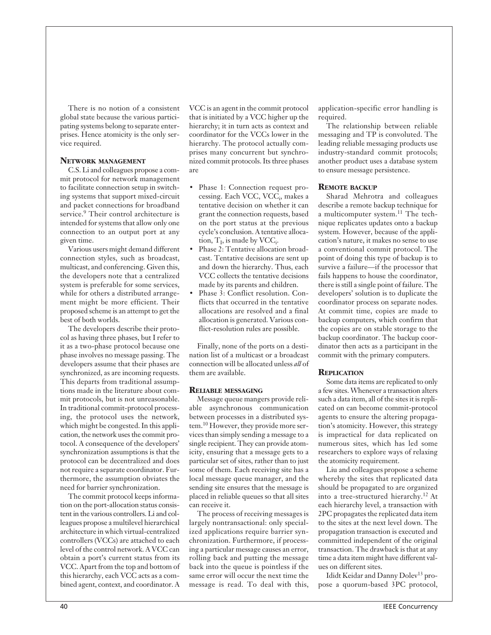There is no notion of a consistent global state because the various participating systems belong to separate enterprises. Hence atomicity is the only service required.

## **NETWORK MANAGEMENT**

C.S. Li and colleagues propose a commit protocol for network management to facilitate connection setup in switching systems that support mixed-circuit and packet connections for broadband service.<sup>9</sup> Their control architecture is intended for systems that allow only one connection to an output port at any given time.

Various users might demand different connection styles, such as broadcast, multicast, and conferencing. Given this, the developers note that a centralized system is preferable for some services, while for others a distributed arrangement might be more efficient. Their proposed scheme is an attempt to get the best of both worlds.

The developers describe their protocol as having three phases, but I refer to it as a two-phase protocol because one phase involves no message passing. The developers assume that their phases are synchronized, as are incoming requests. This departs from traditional assumptions made in the literature about commit protocols, but is not unreasonable. In traditional commit-protocol processing, the protocol uses the network, which might be congested. In this application, the network uses the commit protocol. A consequence of the developers' synchronization assumptions is that the protocol can be decentralized and does not require a separate coordinator. Furthermore, the assumption obviates the need for barrier synchronization.

The commit protocol keeps information on the port-allocation status consistent in the various controllers. Li and colleagues propose a multilevel hierarchical architecture in which virtual-centralized controllers (VCCs) are attached to each level of the control network. A VCC can obtain a port's current status from its VCC. Apart from the top and bottom of this hierarchy, each VCC acts as a combined agent, context, and coordinator. A

VCC is an agent in the commit protocol that is initiated by a VCC higher up the hierarchy; it in turn acts as context and coordinator for the VCCs lower in the hierarchy. The protocol actually comprises many concurrent but synchronized commit protocols. Its three phases are

- Phase 1: Connection request processing. Each VCC, VCC<sub>i</sub>, makes a tentative decision on whether it can grant the connection requests, based on the port status at the previous cycle's conclusion. A tentative allocation,  $T_I$ , is made by  $\text{VCC}_{i}$ .
- Phase 2: Tentative allocation broadcast. Tentative decisions are sent up and down the hierarchy. Thus, each VCC collects the tentative decisions made by its parents and children.
- Phase 3: Conflict resolution. Conflicts that occurred in the tentative allocations are resolved and a final allocation is generated. Various conflict-resolution rules are possible.

Finally, none of the ports on a destination list of a multicast or a broadcast connection will be allocated unless *all* of them are available.

## **RELIABLE MESSAGING**

Message queue mangers provide reliable asynchronous communication between processes in a distributed system.10 However, they provide more services than simply sending a message to a single recipient. They can provide atomicity, ensuring that a message gets to a particular set of sites, rather than to just some of them. Each receiving site has a local message queue manager, and the sending site ensures that the message is placed in reliable queues so that all sites can receive it.

The process of receiving messages is largely nontransactional: only specialized applications require barrier synchronization. Furthermore, if processing a particular message causes an error, rolling back and putting the message back into the queue is pointless if the same error will occur the next time the message is read. To deal with this,

application-specific error handling is required.

The relationship between reliable messaging and TP is convoluted. The leading reliable messaging products use industry-standard commit protocols; another product uses a database system to ensure message persistence.

# **REMOTE BACKUP**

Sharad Mehrotra and colleagues describe a remote backup technique for a multicomputer system.<sup>11</sup> The technique replicates updates onto a backup system. However, because of the application's nature, it makes no sense to use a conventional commit protocol. The point of doing this type of backup is to survive a failure—if the processor that fails happens to house the coordinator, there is still a single point of failure. The developers' solution is to duplicate the coordinator process on separate nodes. At commit time, copies are made to backup computers, which confirm that the copies are on stable storage to the backup coordinator. The backup coordinator then acts as a participant in the commit with the primary computers.

# **REPLICATION**

Some data items are replicated to only a few sites. Whenever a transaction alters such a data item, all of the sites it is replicated on can become commit-protocol agents to ensure the altering propagation's atomicity. However, this strategy is impractical for data replicated on numerous sites, which has led some researchers to explore ways of relaxing the atomicity requirement.

Liu and colleagues propose a scheme whereby the sites that replicated data should be propagated to are organized into a tree-structured hierarchy.12 At each hierarchy level, a transaction with 2PC propagates the replicated data item to the sites at the next level down. The propagation transaction is executed and committed independent of the original transaction. The drawback is that at any time a data item might have different values on different sites.

Ididt Keidar and Danny Dolev<sup>13</sup> propose a quorum-based 3PC protocol,